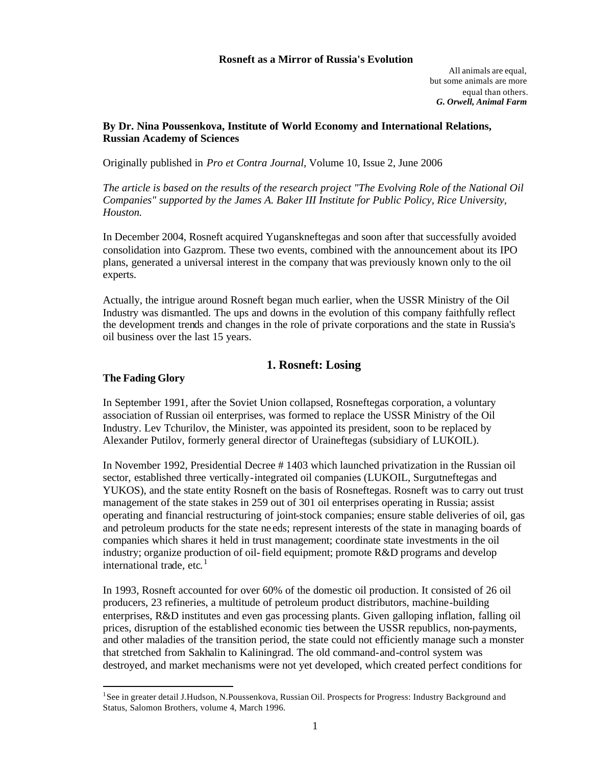#### **Rosneft as a Mirror of Russia's Evolution**

All animals are equal, but some animals are more equal than others. *G. Orwell, Animal Farm*

## **By Dr. Nina Poussenkova, Institute of World Economy and International Relations, Russian Academy of Sciences**

Originally published in *Pro et Contra Journal*, Volume 10, Issue 2, June 2006

*The article is based on the results of the research project "The Evolving Role of the National Oil Companies" supported by the James A. Baker III Institute for Public Policy, Rice University, Houston.*

In December 2004, Rosneft acquired Yuganskneftegas and soon after that successfully avoided consolidation into Gazprom. These two events, combined with the announcement about its IPO plans, generated a universal interest in the company that was previously known only to the oil experts.

Actually, the intrigue around Rosneft began much earlier, when the USSR Ministry of the Oil Industry was dismantled. The ups and downs in the evolution of this company faithfully reflect the development trends and changes in the role of private corporations and the state in Russia's oil business over the last 15 years.

# **1. Rosneft: Losing**

## **The Fading Glory**

 $\overline{\phantom{a}}$ 

In September 1991, after the Soviet Union collapsed, Rosneftegas corporation, a voluntary association of Russian oil enterprises, was formed to replace the USSR Ministry of the Oil Industry. Lev Tchurilov, the Minister, was appointed its president, soon to be replaced by Alexander Putilov, formerly general director of Uraineftegas (subsidiary of LUKOIL).

In November 1992, Presidential Decree # 1403 which launched privatization in the Russian oil sector, established three vertically-integrated oil companies (LUKOIL, Surgutneftegas and YUKOS), and the state entity Rosneft on the basis of Rosneftegas. Rosneft was to carry out trust management of the state stakes in 259 out of 301 oil enterprises operating in Russia; assist operating and financial restructuring of joint-stock companies; ensure stable deliveries of oil, gas and petroleum products for the state ne eds; represent interests of the state in managing boards of companies which shares it held in trust management; coordinate state investments in the oil industry; organize production of oil-field equipment; promote R&D programs and develop international trade, etc.<sup>1</sup>

In 1993, Rosneft accounted for over 60% of the domestic oil production. It consisted of 26 oil producers, 23 refineries, a multitude of petroleum product distributors, machine-building enterprises, R&D institutes and even gas processing plants. Given galloping inflation, falling oil prices, disruption of the established economic ties between the USSR republics, non-payments, and other maladies of the transition period, the state could not efficiently manage such a monster that stretched from Sakhalin to Kaliningrad. The old command-and-control system was destroyed, and market mechanisms were not yet developed, which created perfect conditions for

<sup>&</sup>lt;sup>1</sup>See in greater detail J.Hudson, N.Poussenkova, Russian Oil. Prospects for Progress: Industry Background and Status, Salomon Brothers, volume 4, March 1996.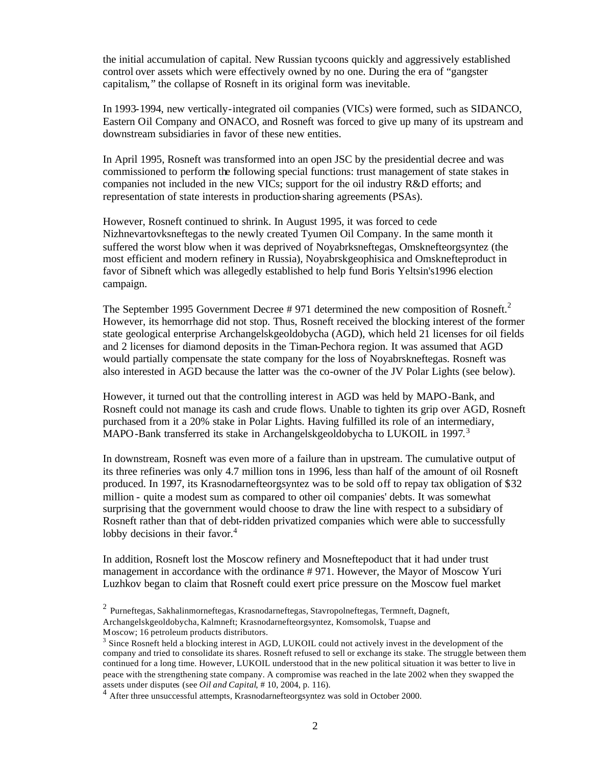the initial accumulation of capital. New Russian tycoons quickly and aggressively established control over assets which were effectively owned by no one. During the era of "gangster capitalism," the collapse of Rosneft in its original form was inevitable.

In 1993-1994, new vertically-integrated oil companies (VICs) were formed, such as SIDANCO, Eastern Oil Company and ONACO, and Rosneft was forced to give up many of its upstream and downstream subsidiaries in favor of these new entities.

In April 1995, Rosneft was transformed into an open JSC by the presidential decree and was commissioned to perform the following special functions: trust management of state stakes in companies not included in the new VICs; support for the oil industry R&D efforts; and representation of state interests in production-sharing agreements (PSAs).

However, Rosneft continued to shrink. In August 1995, it was forced to cede Nizhnevartovksneftegas to the newly created Tyumen Oil Company. In the same month it suffered the worst blow when it was deprived of Noyabrksneftegas, Omsknefteorgsyntez (the most efficient and modern refinery in Russia), Noyabrskgeophisica and Omsknefteproduct in favor of Sibneft which was allegedly established to help fund Boris Yeltsin's1996 election campaign.

The September 1995 Government Decree  $# 971$  determined the new composition of Rosneft.<sup>2</sup> However, its hemorrhage did not stop. Thus, Rosneft received the blocking interest of the former state geological enterprise Archangelskgeoldobycha (AGD), which held 21 licenses for oil fields and 2 licenses for diamond deposits in the Timan-Pechora region. It was assumed that AGD would partially compensate the state company for the loss of Noyabrskneftegas. Rosneft was also interested in AGD because the latter was the co-owner of the JV Polar Lights (see below).

However, it turned out that the controlling interest in AGD was held by MAPO-Bank, and Rosneft could not manage its cash and crude flows. Unable to tighten its grip over AGD, Rosneft purchased from it a 20% stake in Polar Lights. Having fulfilled its role of an intermediary, MAPO-Bank transferred its stake in Archangelskgeoldobycha to LUKOIL in 1997.<sup>3</sup>

In downstream, Rosneft was even more of a failure than in upstream. The cumulative output of its three refineries was only 4.7 million tons in 1996, less than half of the amount of oil Rosneft produced. In 1997, its Krasnodarnefteorgsyntez was to be sold off to repay tax obligation of \$32 million - quite a modest sum as compared to other oil companies' debts. It was somewhat surprising that the government would choose to draw the line with respect to a subsidiary of Rosneft rather than that of debt-ridden privatized companies which were able to successfully lobby decisions in their favor.<sup>4</sup>

In addition, Rosneft lost the Moscow refinery and Mosneftepoduct that it had under trust management in accordance with the ordinance # 971. However, the Mayor of Moscow Yuri Luzhkov began to claim that Rosneft could exert price pressure on the Moscow fuel market

Moscow; 16 petroleum products distributors.

<sup>&</sup>lt;sup>2</sup> Purneftegas, Sakhalinmorneftegas, Krasnodarneftegas, Stavropolneftegas, Termneft, Dagneft, Archangelskgeoldobycha, Kalmneft; Krasnodarnefteorgsyntez, Komsomolsk, Tuapse and

<sup>&</sup>lt;sup>3</sup> Since Rosneft held a blocking interest in AGD, LUKOIL could not actively invest in the development of the company and tried to consolidate its shares. Rosneft refused to sell or exchange its stake. The struggle between them continued for a long time. However, LUKOIL understood that in the new political situation it was better to live in peace with the strengthening state company. A compromise was reached in the late 2002 when they swapped the assets under disputes (see *Oil and Capital*, # 10, 2004, p. 116).

<sup>&</sup>lt;sup>4</sup> After three unsuccessful attempts, Krasnodarnefteorgsyntez was sold in October 2000.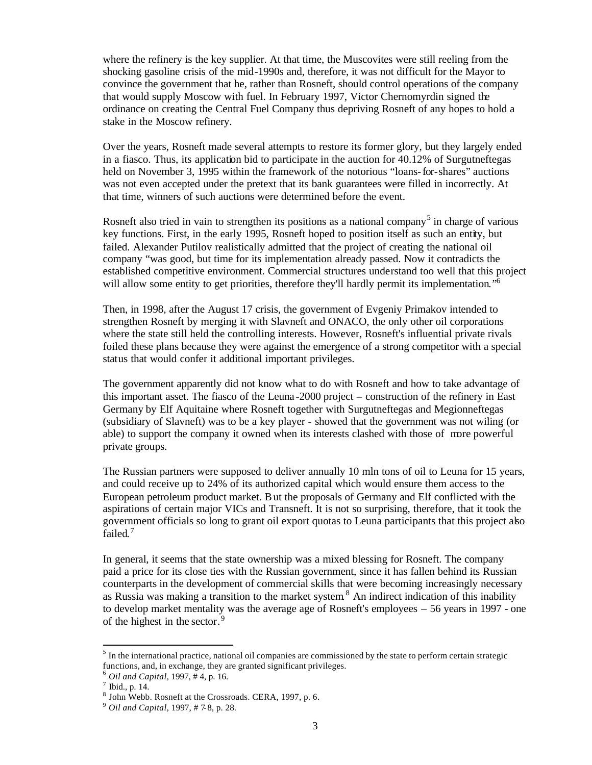where the refinery is the key supplier. At that time, the Muscovites were still reeling from the shocking gasoline crisis of the mid-1990s and, therefore, it was not difficult for the Mayor to convince the government that he, rather than Rosneft, should control operations of the company that would supply Moscow with fuel. In February 1997, Victor Chernomyrdin signed the ordinance on creating the Central Fuel Company thus depriving Rosneft of any hopes to hold a stake in the Moscow refinery.

Over the years, Rosneft made several attempts to restore its former glory, but they largely ended in a fiasco. Thus, its application bid to participate in the auction for 40.12% of Surgutneftegas held on November 3, 1995 within the framework of the notorious "loans-for-shares" auctions was not even accepted under the pretext that its bank guarantees were filled in incorrectly. At that time, winners of such auctions were determined before the event.

Rosneft also tried in vain to strengthen its positions as a national company<sup>5</sup> in charge of various key functions. First, in the early 1995, Rosneft hoped to position itself as such an entity, but failed. Alexander Putilov realistically admitted that the project of creating the national oil company "was good, but time for its implementation already passed. Now it contradicts the established competitive environment. Commercial structures understand too well that this project will allow some entity to get priorities, therefore they'll hardly permit its implementation."<sup>6</sup>

Then, in 1998, after the August 17 crisis, the government of Evgeniy Primakov intended to strengthen Rosneft by merging it with Slavneft and ONACO, the only other oil corporations where the state still held the controlling interests. However, Rosneft's influential private rivals foiled these plans because they were against the emergence of a strong competitor with a special status that would confer it additional important privileges.

The government apparently did not know what to do with Rosneft and how to take advantage of this important asset. The fiasco of the Leuna -2000 project – construction of the refinery in East Germany by Elf Aquitaine where Rosneft together with Surgutneftegas and Megionneftegas (subsidiary of Slavneft) was to be a key player - showed that the government was not wiling (or able) to support the company it owned when its interests clashed with those of more powerful private groups.

The Russian partners were supposed to deliver annually 10 mln tons of oil to Leuna for 15 years, and could receive up to 24% of its authorized capital which would ensure them access to the European petroleum product market. But the proposals of Germany and Elf conflicted with the aspirations of certain major VICs and Transneft. It is not so surprising, therefore, that it took the government officials so long to grant oil export quotas to Leuna participants that this project also failed.<sup>7</sup>

In general, it seems that the state ownership was a mixed blessing for Rosneft. The company paid a price for its close ties with the Russian government, since it has fallen behind its Russian counterparts in the development of commercial skills that were becoming increasingly necessary as Russia was making a transition to the market system  $8$  An indirect indication of this inability to develop market mentality was the average age of Rosneft's employees – 56 years in 1997 - one of the highest in the sector.<sup>9</sup>

 $\overline{\phantom{a}}$ 

 $<sup>5</sup>$  In the international practice, national oil companies are commissioned by the state to perform certain strategic</sup> functions, and, in exchange, they are granted significant privileges.

<sup>6</sup> *Oil and Capital*, 1997, # 4, p. 16.

 $<sup>7</sup>$  Ibid., p. 14.</sup>

<sup>8</sup> John Webb. Rosneft at the Crossroads. CERA, 1997, p. 6.

<sup>9</sup> *Oil and Capital*, 1997, # 7-8, p. 28.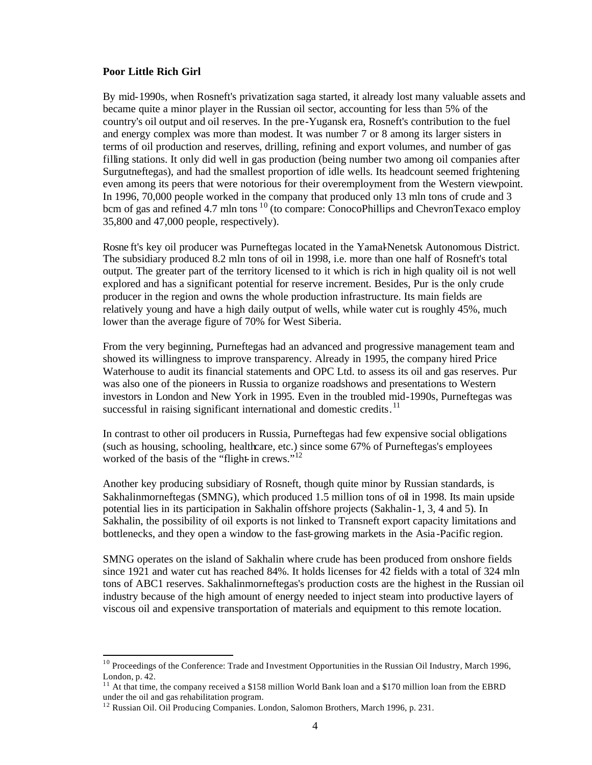#### **Poor Little Rich Girl**

 $\overline{\phantom{a}}$ 

By mid-1990s, when Rosneft's privatization saga started, it already lost many valuable assets and became quite a minor player in the Russian oil sector, accounting for less than 5% of the country's oil output and oil reserves. In the pre-Yugansk era, Rosneft's contribution to the fuel and energy complex was more than modest. It was number 7 or 8 among its larger sisters in terms of oil production and reserves, drilling, refining and export volumes, and number of gas filling stations. It only did well in gas production (being number two among oil companies after Surgutneftegas), and had the smallest proportion of idle wells. Its headcount seemed frightening even among its peers that were notorious for their overemployment from the Western viewpoint. In 1996, 70,000 people worked in the company that produced only 13 mln tons of crude and 3 bcm of gas and refined 4.7 mln tons  $10$  (to compare: ConocoPhillips and ChevronTexaco employ 35,800 and 47,000 people, respectively).

Rosne ft's key oil producer was Purneftegas located in the Yamal-Nenetsk Autonomous District. The subsidiary produced 8.2 mln tons of oil in 1998, i.e. more than one half of Rosneft's total output. The greater part of the territory licensed to it which is rich in high quality oil is not well explored and has a significant potential for reserve increment. Besides, Pur is the only crude producer in the region and owns the whole production infrastructure. Its main fields are relatively young and have a high daily output of wells, while water cut is roughly 45%, much lower than the average figure of 70% for West Siberia.

From the very beginning, Purneftegas had an advanced and progressive management team and showed its willingness to improve transparency. Already in 1995, the company hired Price Waterhouse to audit its financial statements and OPC Ltd. to assess its oil and gas reserves. Pur was also one of the pioneers in Russia to organize roadshows and presentations to Western investors in London and New York in 1995. Even in the troubled mid-1990s, Purneftegas was successful in raising significant international and domestic credits.<sup>11</sup>

In contrast to other oil producers in Russia, Purneftegas had few expensive social obligations (such as housing, schooling, healthcare, etc.) since some 67% of Purneftegas's employees worked of the basis of the "flight-in crews."<sup>12</sup>

Another key producing subsidiary of Rosneft, though quite minor by Russian standards, is Sakhalinmorneftegas (SMNG), which produced 1.5 million tons of oil in 1998. Its main upside potential lies in its participation in Sakhalin offshore projects (Sakhalin-1, 3, 4 and 5). In Sakhalin, the possibility of oil exports is not linked to Transneft export capacity limitations and bottlenecks, and they open a window to the fast-growing markets in the Asia -Pacific region.

SMNG operates on the island of Sakhalin where crude has been produced from onshore fields since 1921 and water cut has reached 84%. It holds licenses for 42 fields with a total of 324 mln tons of ABC1 reserves. Sakhalinmorneftegas's production costs are the highest in the Russian oil industry because of the high amount of energy needed to inject steam into productive layers of viscous oil and expensive transportation of materials and equipment to this remote location.

<sup>&</sup>lt;sup>10</sup> Proceedings of the Conference: Trade and Investment Opportunities in the Russian Oil Industry, March 1996, London, p. 42.

<sup>&</sup>lt;sup>11</sup> At that time, the company received a \$158 million World Bank loan and a \$170 million loan from the EBRD under the oil and gas rehabilitation program.

<sup>&</sup>lt;sup>12</sup> Russian Oil. Oil Producing Companies. London, Salomon Brothers, March 1996, p. 231.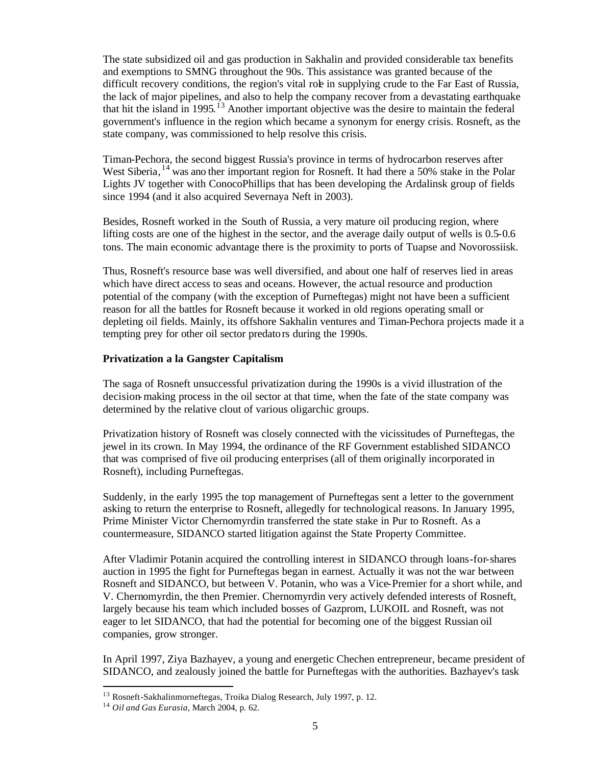The state subsidized oil and gas production in Sakhalin and provided considerable tax benefits and exemptions to SMNG throughout the 90s. This assistance was granted because of the difficult recovery conditions, the region's vital role in supplying crude to the Far East of Russia, the lack of major pipelines, and also to help the company recover from a devastating earthquake that hit the island in 1995.<sup>13</sup> Another important objective was the desire to maintain the federal government's influence in the region which became a synonym for energy crisis. Rosneft, as the state company, was commissioned to help resolve this crisis.

Timan-Pechora, the second biggest Russia's province in terms of hydrocarbon reserves after West Siberia, <sup>14</sup> was ano ther important region for Rosneft. It had there a 50% stake in the Polar Lights JV together with ConocoPhillips that has been developing the Ardalinsk group of fields since 1994 (and it also acquired Severnaya Neft in 2003).

Besides, Rosneft worked in the South of Russia, a very mature oil producing region, where lifting costs are one of the highest in the sector, and the average daily output of wells is 0.5-0.6 tons. The main economic advantage there is the proximity to ports of Tuapse and Novorossiisk.

Thus, Rosneft's resource base was well diversified, and about one half of reserves lied in areas which have direct access to seas and oceans. However, the actual resource and production potential of the company (with the exception of Purneftegas) might not have been a sufficient reason for all the battles for Rosneft because it worked in old regions operating small or depleting oil fields. Mainly, its offshore Sakhalin ventures and Timan-Pechora projects made it a tempting prey for other oil sector predators during the 1990s.

### **Privatization a la Gangster Capitalism**

The saga of Rosneft unsuccessful privatization during the 1990s is a vivid illustration of the decision-making process in the oil sector at that time, when the fate of the state company was determined by the relative clout of various oligarchic groups.

Privatization history of Rosneft was closely connected with the vicissitudes of Purneftegas, the jewel in its crown. In May 1994, the ordinance of the RF Government established SIDANCO that was comprised of five oil producing enterprises (all of them originally incorporated in Rosneft), including Purneftegas.

Suddenly, in the early 1995 the top management of Purneftegas sent a letter to the government asking to return the enterprise to Rosneft, allegedly for technological reasons. In January 1995, Prime Minister Victor Chernomyrdin transferred the state stake in Pur to Rosneft. As a countermeasure, SIDANCO started litigation against the State Property Committee.

After Vladimir Potanin acquired the controlling interest in SIDANCO through loans-for-shares auction in 1995 the fight for Purneftegas began in earnest. Actually it was not the war between Rosneft and SIDANCO, but between V. Potanin, who was a Vice-Premier for a short while, and V. Chernomyrdin, the then Premier. Chernomyrdin very actively defended interests of Rosneft, largely because his team which included bosses of Gazprom, LUKOIL and Rosneft, was not eager to let SIDANCO, that had the potential for becoming one of the biggest Russian oil companies, grow stronger.

In April 1997, Ziya Bazhayev, a young and energetic Chechen entrepreneur, became president of SIDANCO, and zealously joined the battle for Purneftegas with the authorities. Bazhayev's task

<sup>&</sup>lt;sup>13</sup> Rosneft-Sakhalinmorneftegas, Troika Dialog Research, July 1997, p. 12.

<sup>14</sup> *Oil and Gas Eurasia*, March 2004, p. 62.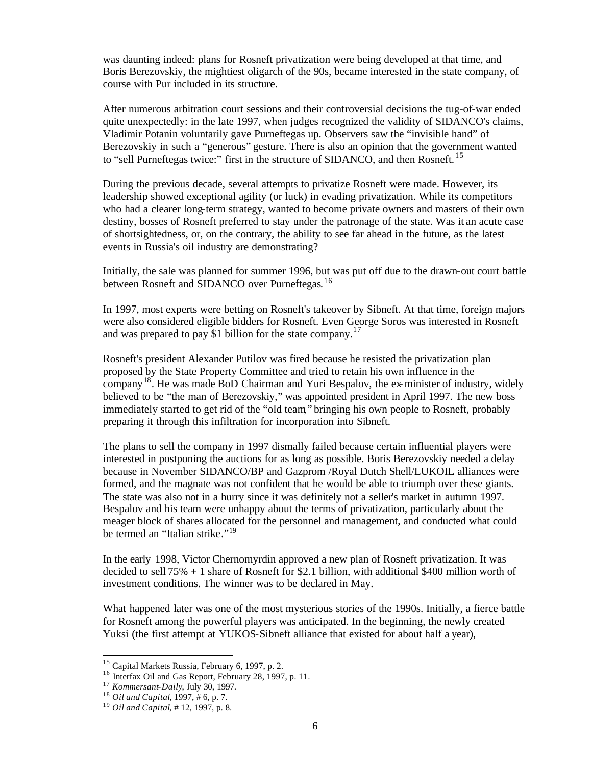was daunting indeed: plans for Rosneft privatization were being developed at that time, and Boris Berezovskiy, the mightiest oligarch of the 90s, became interested in the state company, of course with Pur included in its structure.

After numerous arbitration court sessions and their controversial decisions the tug-of-war ended quite unexpectedly: in the late 1997, when judges recognized the validity of SIDANCO's claims, Vladimir Potanin voluntarily gave Purneftegas up. Observers saw the "invisible hand" of Berezovskiy in such a "generous" gesture. There is also an opinion that the government wanted to "sell Purneftegas twice:" first in the structure of SIDANCO, and then Rosneft.<sup>15</sup>

During the previous decade, several attempts to privatize Rosneft were made. However, its leadership showed exceptional agility (or luck) in evading privatization. While its competitors who had a clearer long-term strategy, wanted to become private owners and masters of their own destiny, bosses of Rosneft preferred to stay under the patronage of the state. Was it an acute case of shortsightedness, or, on the contrary, the ability to see far ahead in the future, as the latest events in Russia's oil industry are demonstrating?

Initially, the sale was planned for summer 1996, but was put off due to the drawn-out court battle between Rosneft and SIDANCO over Purneftegas.<sup>16</sup>

In 1997, most experts were betting on Rosneft's takeover by Sibneft. At that time, foreign majors were also considered eligible bidders for Rosneft. Even George Soros was interested in Rosneft and was prepared to pay \$1 billion for the state company.<sup>17</sup>

Rosneft's president Alexander Putilov was fired because he resisted the privatization plan proposed by the State Property Committee and tried to retain his own influence in the company<sup>18</sup>. He was made BoD Chairman and Yuri Bespalov, the ex-minister of industry, widely believed to be "the man of Berezovskiy," was appointed president in April 1997. The new boss immediately started to get rid of the "old team," bringing his own people to Rosneft, probably preparing it through this infiltration for incorporation into Sibneft.

The plans to sell the company in 1997 dismally failed because certain influential players were interested in postponing the auctions for as long as possible. Boris Berezovskiy needed a delay because in November SIDANCO/BP and Gazprom /Royal Dutch Shell/LUKOIL alliances were formed, and the magnate was not confident that he would be able to triumph over these giants. The state was also not in a hurry since it was definitely not a seller's market in autumn 1997. Bespalov and his team were unhappy about the terms of privatization, particularly about the meager block of shares allocated for the personnel and management, and conducted what could be termed an "Italian strike."<sup>19</sup>

In the early 1998, Victor Chernomyrdin approved a new plan of Rosneft privatization. It was decided to sell 75% + 1 share of Rosneft for \$2.1 billion, with additional \$400 million worth of investment conditions. The winner was to be declared in May.

What happened later was one of the most mysterious stories of the 1990s. Initially, a fierce battle for Rosneft among the powerful players was anticipated. In the beginning, the newly created Yuksi (the first attempt at YUKOS-Sibneft alliance that existed for about half a year),

<sup>&</sup>lt;sup>15</sup> Capital Markets Russia, February 6, 1997, p. 2.

<sup>&</sup>lt;sup>16</sup> Interfax Oil and Gas Report, February 28, 1997, p. 11.

<sup>17</sup> *Kommersant-Daily*, July 30, 1997.

<sup>18</sup> *Oil and Capital*, 1997, # 6, p. 7.

<sup>19</sup> *Oil and Capital*, # 12, 1997, p. 8.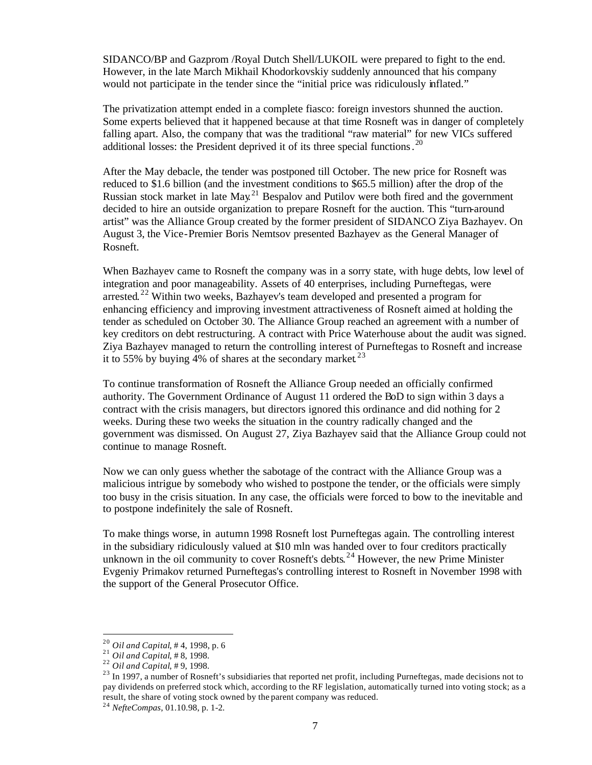SIDANCO/BP and Gazprom /Royal Dutch Shell/LUKOIL were prepared to fight to the end. However, in the late March Mikhail Khodorkovskiy suddenly announced that his company would not participate in the tender since the "initial price was ridiculously inflated."

The privatization attempt ended in a complete fiasco: foreign investors shunned the auction. Some experts believed that it happened because at that time Rosneft was in danger of completely falling apart. Also, the company that was the traditional "raw material" for new VICs suffered additional losses: the President deprived it of its three special functions.<sup>20</sup>

After the May debacle, the tender was postponed till October. The new price for Rosneft was reduced to \$1.6 billion (and the investment conditions to \$65.5 million) after the drop of the Russian stock market in late  $May<sup>21</sup>$  Bespalov and Putilov were both fired and the government decided to hire an outside organization to prepare Rosneft for the auction. This "turn-around artist" was the Alliance Group created by the former president of SIDANCO Ziya Bazhayev. On August 3, the Vice-Premier Boris Nemtsov presented Bazhayev as the General Manager of Rosneft.

When Bazhayev came to Rosneft the company was in a sorry state, with huge debts, low level of integration and poor manageability. Assets of 40 enterprises, including Purneftegas, were arrested. <sup>22</sup> Within two weeks, Bazhayev's team developed and presented a program for enhancing efficiency and improving investment attractiveness of Rosneft aimed at holding the tender as scheduled on October 30. The Alliance Group reached an agreement with a number of key creditors on debt restructuring. A contract with Price Waterhouse about the audit was signed. Ziya Bazhayev managed to return the controlling interest of Purneftegas to Rosneft and increase it to 55% by buying  $\frac{4}{6}$  of shares at the secondary market.<sup>23</sup>

To continue transformation of Rosneft the Alliance Group needed an officially confirmed authority. The Government Ordinance of August 11 ordered the BoD to sign within 3 days a contract with the crisis managers, but directors ignored this ordinance and did nothing for 2 weeks. During these two weeks the situation in the country radically changed and the government was dismissed. On August 27, Ziya Bazhayev said that the Alliance Group could not continue to manage Rosneft.

Now we can only guess whether the sabotage of the contract with the Alliance Group was a malicious intrigue by somebody who wished to postpone the tender, or the officials were simply too busy in the crisis situation. In any case, the officials were forced to bow to the inevitable and to postpone indefinitely the sale of Rosneft.

To make things worse, in autumn 1998 Rosneft lost Purneftegas again. The controlling interest in the subsidiary ridiculously valued at \$10 mln was handed over to four creditors practically unknown in the oil community to cover Rosneft's debts.<sup>24</sup> However, the new Prime Minister Evgeniy Primakov returned Purneftegas's controlling interest to Rosneft in November 1998 with the support of the General Prosecutor Office.

<sup>20</sup> *Oil and Capital*, # 4, 1998, p. 6

<sup>21</sup> *Oil and Capital*, # 8, 1998.

<sup>22</sup> *Oil and Capital*, # 9, 1998.

<sup>&</sup>lt;sup>23</sup> In 1997, a number of Rosneft's subsidiaries that reported net profit, including Purneftegas, made decisions not to pay dividends on preferred stock which, according to the RF legislation, automatically turned into voting stock; as a result, the share of voting stock owned by the parent company was reduced.

<sup>24</sup> *NefteCompas*, 01.10.98, p. 1-2.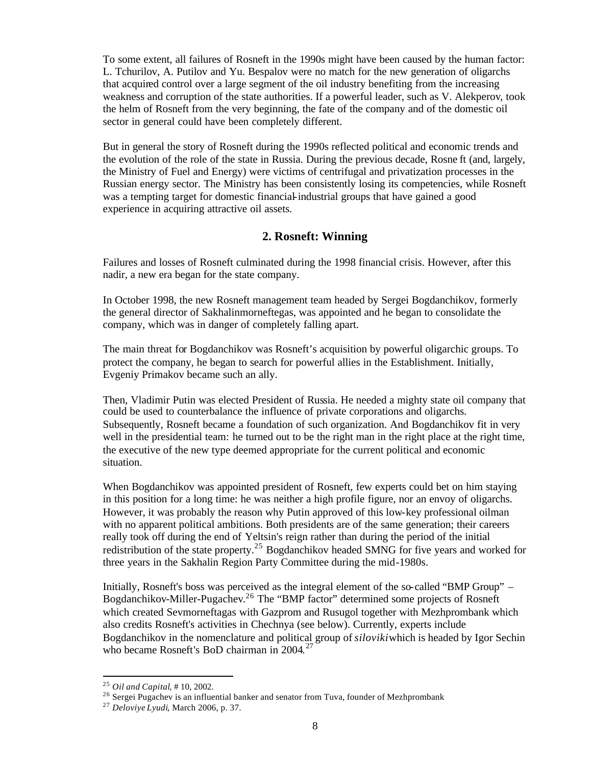To some extent, all failures of Rosneft in the 1990s might have been caused by the human factor: L. Tchurilov, A. Putilov and Yu. Bespalov were no match for the new generation of oligarchs that acquired control over a large segment of the oil industry benefiting from the increasing weakness and corruption of the state authorities. If a powerful leader, such as V. Alekperov, took the helm of Rosneft from the very beginning, the fate of the company and of the domestic oil sector in general could have been completely different.

But in general the story of Rosneft during the 1990s reflected political and economic trends and the evolution of the role of the state in Russia. During the previous decade, Rosne ft (and, largely, the Ministry of Fuel and Energy) were victims of centrifugal and privatization processes in the Russian energy sector. The Ministry has been consistently losing its competencies, while Rosneft was a tempting target for domestic financial-industrial groups that have gained a good experience in acquiring attractive oil assets.

# **2. Rosneft: Winning**

Failures and losses of Rosneft culminated during the 1998 financial crisis. However, after this nadir, a new era began for the state company.

In October 1998, the new Rosneft management team headed by Sergei Bogdanchikov, formerly the general director of Sakhalinmorneftegas, was appointed and he began to consolidate the company, which was in danger of completely falling apart.

The main threat for Bogdanchikov was Rosneft's acquisition by powerful oligarchic groups. To protect the company, he began to search for powerful allies in the Establishment. Initially, Evgeniy Primakov became such an ally.

Then, Vladimir Putin was elected President of Russia. He needed a mighty state oil company that could be used to counterbalance the influence of private corporations and oligarchs. Subsequently, Rosneft became a foundation of such organization. And Bogdanchikov fit in very well in the presidential team: he turned out to be the right man in the right place at the right time, the executive of the new type deemed appropriate for the current political and economic situation.

When Bogdanchikov was appointed president of Rosneft, few experts could bet on him staying in this position for a long time: he was neither a high profile figure, nor an envoy of oligarchs. However, it was probably the reason why Putin approved of this low-key professional oilman with no apparent political ambitions. Both presidents are of the same generation; their careers really took off during the end of Yeltsin's reign rather than during the period of the initial redistribution of the state property.<sup>25</sup> Bogdanchikov headed SMNG for five years and worked for three years in the Sakhalin Region Party Committee during the mid-1980s.

Initially, Rosneft's boss was perceived as the integral element of the so-called "BMP Group" – Bogdanchikov-Miller-Pugachev.<sup>26</sup> The "BMP factor" determined some projects of Rosneft which created Sevmorneftagas with Gazprom and Rusugol together with Mezhprombank which also credits Rosneft's activities in Chechnya (see below). Currently, experts include Bogdanchikov in the nomenclature and political group of *siloviki* which is headed by Igor Sechin who became Rosneft's BoD chairman in 2004.<sup>27</sup>

<sup>25</sup> *Oil and Capital*, # 10, 2002.

<sup>&</sup>lt;sup>26</sup> Sergei Pugachev is an influential banker and senator from Tuva, founder of Mezhprombank

<sup>27</sup> *Deloviye Lyudi*, March 2006, p. 37.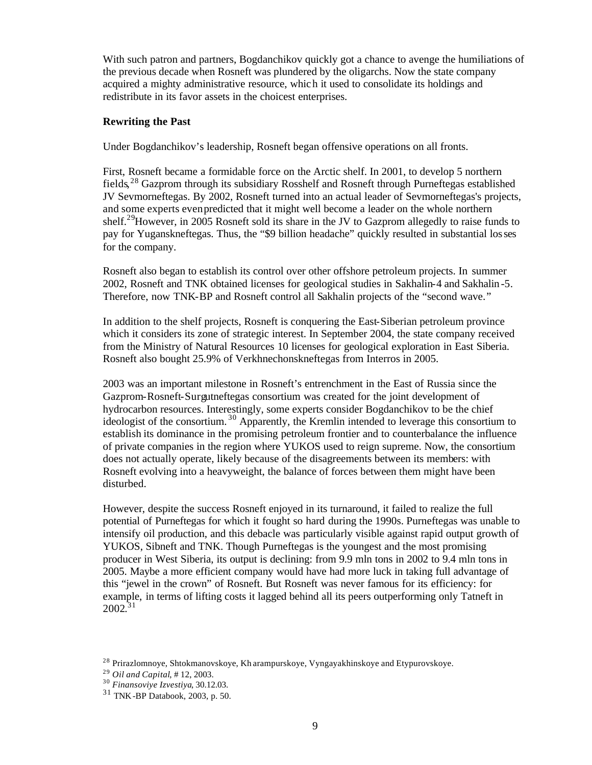With such patron and partners, Bogdanchikov quickly got a chance to avenge the humiliations of the previous decade when Rosneft was plundered by the oligarchs. Now the state company acquired a mighty administrative resource, which it used to consolidate its holdings and redistribute in its favor assets in the choicest enterprises.

### **Rewriting the Past**

Under Bogdanchikov's leadership, Rosneft began offensive operations on all fronts.

First, Rosneft became a formidable force on the Arctic shelf. In 2001, to develop 5 northern fields,<sup>28</sup> Gazprom through its subsidiary Rosshelf and Rosneft through Purneftegas established JV Sevmorneftegas. By 2002, Rosneft turned into an actual leader of Sevmorneftegas's projects, and some experts even predicted that it might well become a leader on the whole northern shelf.<sup>29</sup>However, in 2005 Rosneft sold its share in the JV to Gazprom allegedly to raise funds to pay for Yuganskneftegas. Thus, the "\$9 billion headache" quickly resulted in substantial losses for the company.

Rosneft also began to establish its control over other offshore petroleum projects. In summer 2002, Rosneft and TNK obtained licenses for geological studies in Sakhalin-4 and Sakhalin-5. Therefore, now TNK-BP and Rosneft control all Sakhalin projects of the "second wave."

In addition to the shelf projects, Rosneft is conquering the East-Siberian petroleum province which it considers its zone of strategic interest. In September 2004, the state company received from the Ministry of Natural Resources 10 licenses for geological exploration in East Siberia. Rosneft also bought 25.9% of Verkhnechonskneftegas from Interros in 2005.

2003 was an important milestone in Rosneft's entrenchment in the East of Russia since the Gazprom-Rosneft-Surgutneftegas consortium was created for the joint development of hydrocarbon resources. Interestingly, some experts consider Bogdanchikov to be the chief ideologist of the consortium. <sup>30</sup> Apparently, the Kremlin intended to leverage this consortium to establish its dominance in the promising petroleum frontier and to counterbalance the influence of private companies in the region where YUKOS used to reign supreme. Now, the consortium does not actually operate, likely because of the disagreements between its members: with Rosneft evolving into a heavyweight, the balance of forces between them might have been disturbed.

However, despite the success Rosneft enjoyed in its turnaround, it failed to realize the full potential of Purneftegas for which it fought so hard during the 1990s. Purneftegas was unable to intensify oil production, and this debacle was particularly visible against rapid output growth of YUKOS, Sibneft and TNK. Though Purneftegas is the youngest and the most promising producer in West Siberia, its output is declining: from 9.9 mln tons in 2002 to 9.4 mln tons in 2005. Maybe a more efficient company would have had more luck in taking full advantage of this "jewel in the crown" of Rosneft. But Rosneft was never famous for its efficiency: for example, in terms of lifting costs it lagged behind all its peers outperforming only Tatneft in  $2002.^{31}$ 

<sup>&</sup>lt;sup>28</sup> Prirazlomnoye, Shtokmanovskoye, Kh arampurskoye, Vyngayakhinskoye and Etypurovskoye.

<sup>29</sup> *Oil and Capital*, # 12, 2003.

<sup>30</sup> *Finansoviye Izvestiya*, 30.12.03.

<sup>31</sup> TNK-BP Databook, 2003, p. 50.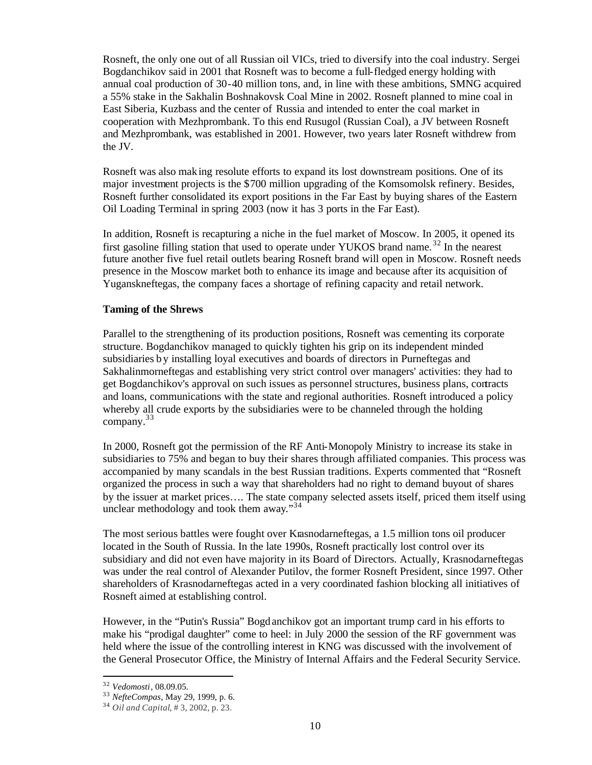Rosneft, the only one out of all Russian oil VICs, tried to diversify into the coal industry. Sergei Bogdanchikov said in 2001 that Rosneft was to become a full-fledged energy holding with annual coal production of 30-40 million tons, and, in line with these ambitions, SMNG acquired a 55% stake in the Sakhalin Boshnakovsk Coal Mine in 2002. Rosneft planned to mine coal in East Siberia, Kuzbass and the center of Russia and intended to enter the coal market in cooperation with Mezhprombank. To this end Rusugol (Russian Coal), a JV between Rosneft and Mezhprombank, was established in 2001. However, two years later Rosneft withdrew from the JV.

Rosneft was also mak ing resolute efforts to expand its lost downstream positions. One of its major investment projects is the \$700 million upgrading of the Komsomolsk refinery. Besides, Rosneft further consolidated its export positions in the Far East by buying shares of the Eastern Oil Loading Terminal in spring 2003 (now it has 3 ports in the Far East).

In addition, Rosneft is recapturing a niche in the fuel market of Moscow. In 2005, it opened its first gasoline filling station that used to operate under YUKOS brand name.<sup>32</sup> In the nearest future another five fuel retail outlets bearing Rosneft brand will open in Moscow. Rosneft needs presence in the Moscow market both to enhance its image and because after its acquisition of Yuganskneftegas, the company faces a shortage of refining capacity and retail network.

### **Taming of the Shrews**

Parallel to the strengthening of its production positions, Rosneft was cementing its corporate structure. Bogdanchikov managed to quickly tighten his grip on its independent minded subsidiaries by installing loyal executives and boards of directors in Purneftegas and Sakhalinmorneftegas and establishing very strict control over managers' activities: they had to get Bogdanchikov's approval on such issues as personnel structures, business plans, contracts and loans, communications with the state and regional authorities. Rosneft introduced a policy whereby all crude exports by the subsidiaries were to be channeled through the holding company. 33

In 2000, Rosneft got the permission of the RF Anti-Monopoly Ministry to increase its stake in subsidiaries to 75% and began to buy their shares through affiliated companies. This process was accompanied by many scandals in the best Russian traditions. Experts commented that "Rosneft organized the process in such a way that shareholders had no right to demand buyout of shares by the issuer at market prices…. The state company selected assets itself, priced them itself using unclear methodology and took them away."<sup>34</sup>

The most serious battles were fought over Krasnodarneftegas, a 1.5 million tons oil producer located in the South of Russia. In the late 1990s, Rosneft practically lost control over its subsidiary and did not even have majority in its Board of Directors. Actually, Krasnodarneftegas was under the real control of Alexander Putilov, the former Rosneft President, since 1997. Other shareholders of Krasnodarneftegas acted in a very coordinated fashion blocking all initiatives of Rosneft aimed at establishing control.

However, in the "Putin's Russia" Bogd anchikov got an important trump card in his efforts to make his "prodigal daughter" come to heel: in July 2000 the session of the RF government was held where the issue of the controlling interest in KNG was discussed with the involvement of the General Prosecutor Office, the Ministry of Internal Affairs and the Federal Security Service.

<sup>32</sup> *Vedomosti*, 08.09.05.

<sup>33</sup> *NefteCompas*, May 29, 1999, p. 6.

<sup>34</sup> *Oil and Capital*, # 3, 2002, p. 23.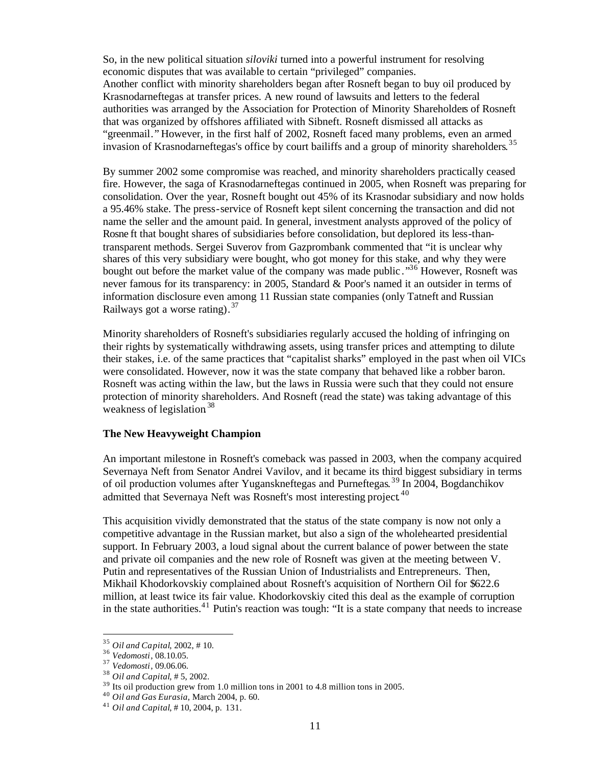So, in the new political situation *siloviki* turned into a powerful instrument for resolving economic disputes that was available to certain "privileged" companies. Another conflict with minority shareholders began after Rosneft began to buy oil produced by Krasnodarneftegas at transfer prices. A new round of lawsuits and letters to the federal authorities was arranged by the Association for Protection of Minority Shareholders of Rosneft that was organized by offshores affiliated with Sibneft. Rosneft dismissed all attacks as "greenmail." However, in the first half of 2002, Rosneft faced many problems, even an armed invasion of Krasnodarneftegas's office by court bailiffs and a group of minority shareholders.<sup>35</sup>

By summer 2002 some compromise was reached, and minority shareholders practically ceased fire. However, the saga of Krasnodarneftegas continued in 2005, when Rosneft was preparing for consolidation. Over the year, Rosneft bought out 45% of its Krasnodar subsidiary and now holds a 95.46% stake. The press-service of Rosneft kept silent concerning the transaction and did not name the seller and the amount paid. In general, investment analysts approved of the policy of Rosne ft that bought shares of subsidiaries before consolidation, but deplored its less-thantransparent methods. Sergei Suverov from Gazprombank commented that "it is unclear why shares of this very subsidiary were bought, who got money for this stake, and why they were bought out before the market value of the company was made public .<sup>36</sup> However, Rosneft was never famous for its transparency: in 2005, Standard & Poor's named it an outsider in terms of information disclosure even among 11 Russian state companies (only Tatneft and Russian Railways got a worse rating).<sup>37</sup>

Minority shareholders of Rosneft's subsidiaries regularly accused the holding of infringing on their rights by systematically withdrawing assets, using transfer prices and attempting to dilute their stakes, i.e. of the same practices that "capitalist sharks" employed in the past when oil VICs were consolidated. However, now it was the state company that behaved like a robber baron. Rosneft was acting within the law, but the laws in Russia were such that they could not ensure protection of minority shareholders. And Rosneft (read the state) was taking advantage of this weakness of legislation<sup>38</sup>

### **The New Heavyweight Champion**

An important milestone in Rosneft's comeback was passed in 2003, when the company acquired Severnaya Neft from Senator Andrei Vavilov, and it became its third biggest subsidiary in terms of oil production volumes after Yuganskneftegas and Purneftegas.<sup>39</sup> In 2004, Bogdanchikov admitted that Severnaya Neft was Rosneft's most interesting project.<sup>40</sup>

This acquisition vividly demonstrated that the status of the state company is now not only a competitive advantage in the Russian market, but also a sign of the wholehearted presidential support. In February 2003, a loud signal about the current balance of power between the state and private oil companies and the new role of Rosneft was given at the meeting between V. Putin and representatives of the Russian Union of Industrialists and Entrepreneurs. Then, Mikhail Khodorkovskiy complained about Rosneft's acquisition of Northern Oil for \$622.6 million, at least twice its fair value. Khodorkovskiy cited this deal as the example of corruption in the state authorities. <sup>41</sup> Putin's reaction was tough: "It is a state company that needs to increase

<sup>35</sup> *Oil and Capital*, 2002, # 10.

<sup>36</sup> *Vedomosti*, 08.10.05.

<sup>37</sup> *Vedomosti*, 09.06.06.

<sup>38</sup> *Oil and Capital*, # 5, 2002.

<sup>&</sup>lt;sup>39</sup> Its oil production grew from 1.0 million tons in 2001 to 4.8 million tons in 2005.

<sup>40</sup> *Oil and Gas Eurasia*, March 2004, p. 60.

<sup>41</sup> *Oil and Capital*, # 10, 2004, p. 131.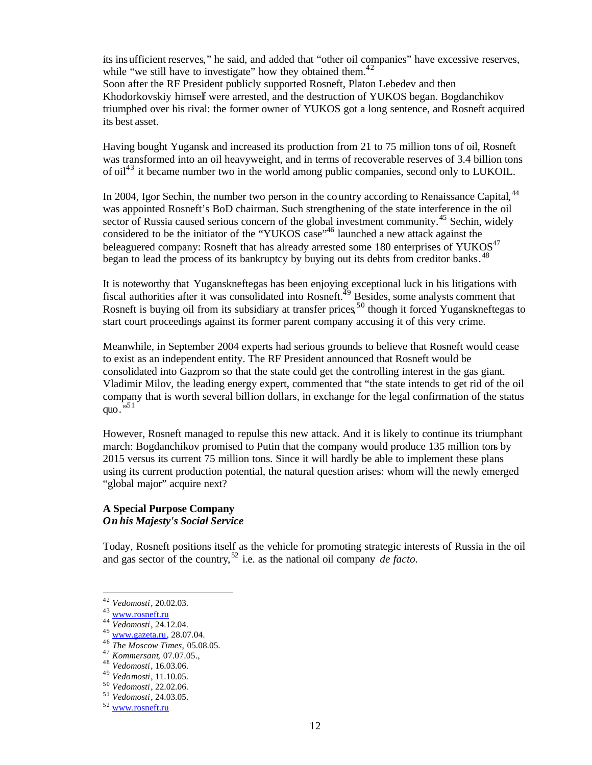its insufficient reserves," he said, and added that "other oil companies" have excessive reserves, while "we still have to investigate" how they obtained them. $42$ Soon after the RF President publicly supported Rosneft, Platon Lebedev and then

Khodorkovskiy himself were arrested, and the destruction of YUKOS began. Bogdanchikov triumphed over his rival: the former owner of YUKOS got a long sentence, and Rosneft acquired its best asset.

Having bought Yugansk and increased its production from 21 to 75 million tons of oil, Rosneft was transformed into an oil heavyweight, and in terms of recoverable reserves of 3.4 billion tons of oil<sup>43</sup> it became number two in the world among public companies, second only to LUKOIL.

In 2004, Igor Sechin, the number two person in the country according to Renaissance Capital, <sup>44</sup> was appointed Rosneft's BoD chairman. Such strengthening of the state interference in the oil sector of Russia caused serious concern of the global investment community.<sup>45</sup> Sechin, widely considered to be the initiator of the "YUKOS case"<sup>46</sup> launched a new attack against the beleaguered company: Rosneft that has already arrested some 180 enterprises of YUKOS<sup>47</sup> began to lead the process of its bankruptcy by buying out its debts from creditor banks.<sup>48</sup>

It is noteworthy that Yuganskneftegas has been enjoying exceptional luck in his litigations with fiscal authorities after it was consolidated into Rosneft.<sup>49</sup> Besides, some analysts comment that Rosneft is buying oil from its subsidiary at transfer prices,<sup>50</sup> though it forced Yuganskneftegas to start court proceedings against its former parent company accusing it of this very crime.

Meanwhile, in September 2004 experts had serious grounds to believe that Rosneft would cease to exist as an independent entity. The RF President announced that Rosneft would be consolidated into Gazprom so that the state could get the controlling interest in the gas giant. Vladimir Milov, the leading energy expert, commented that "the state intends to get rid of the oil company that is worth several billion dollars, in exchange for the legal confirmation of the status quo $.^{\overline{}}$ <sup>51</sup>

However, Rosneft managed to repulse this new attack. And it is likely to continue its triumphant march: Bogdanchikov promised to Putin that the company would produce 135 million tons by 2015 versus its current 75 million tons. Since it will hardly be able to implement these plans using its current production potential, the natural question arises: whom will the newly emerged "global major" acquire next?

## **A Special Purpose Company**  *On his Majesty's Social Service*

Today, Rosneft positions itself as the vehicle for promoting strategic interests of Russia in the oil and gas sector of the country, <sup>52</sup> i.e. as the national oil company *de facto.*

<sup>42</sup> *Vedomosti*, 20.02.03.

<sup>43</sup> www.rosneft.ru

<sup>44</sup> *Vedomosti*, 24.12.04.

<sup>45</sup> www.gazeta.ru, 28.07.04.

<sup>46</sup> *The Moscow Times*, 05.08.05.

<sup>47</sup> *Kommersant*, 07.07.05.,

<sup>48</sup> *Vedomosti*, 16.03.06.

<sup>49</sup> *Vedomosti*, 11.10.05.

<sup>50</sup> *Vedomosti*, 22.02.06.

<sup>51</sup> *Vedomosti*, 24.03.05.

<sup>52</sup> www.rosneft.ru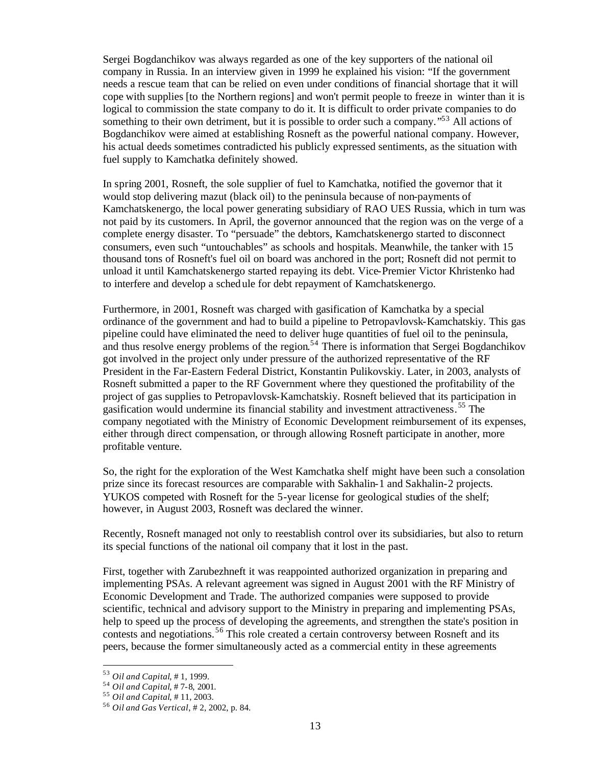Sergei Bogdanchikov was always regarded as one of the key supporters of the national oil company in Russia. In an interview given in 1999 he explained his vision: "If the government needs a rescue team that can be relied on even under conditions of financial shortage that it will cope with supplies [to the Northern regions] and won't permit people to freeze in winter than it is logical to commission the state company to do it. It is difficult to order private companies to do something to their own detriment, but it is possible to order such a company."<sup>53</sup> All actions of Bogdanchikov were aimed at establishing Rosneft as the powerful national company. However, his actual deeds sometimes contradicted his publicly expressed sentiments, as the situation with fuel supply to Kamchatka definitely showed.

In spring 2001, Rosneft, the sole supplier of fuel to Kamchatka, notified the governor that it would stop delivering mazut (black oil) to the peninsula because of non-payments of Kamchatskenergo, the local power generating subsidiary of RAO UES Russia, which in turn was not paid by its customers. In April, the governor announced that the region was on the verge of a complete energy disaster. To "persuade" the debtors, Kamchatskenergo started to disconnect consumers, even such "untouchables" as schools and hospitals. Meanwhile, the tanker with 15 thousand tons of Rosneft's fuel oil on board was anchored in the port; Rosneft did not permit to unload it until Kamchatskenergo started repaying its debt. Vice-Premier Victor Khristenko had to interfere and develop a schedule for debt repayment of Kamchatskenergo.

Furthermore, in 2001, Rosneft was charged with gasification of Kamchatka by a special ordinance of the government and had to build a pipeline to Petropavlovsk-Kamchatskiy. This gas pipeline could have eliminated the need to deliver huge quantities of fuel oil to the peninsula, and thus resolve energy problems of the region.<sup>54</sup> There is information that Sergei Bogdanchikov got involved in the project only under pressure of the authorized representative of the RF President in the Far-Eastern Federal District, Konstantin Pulikovskiy. Later, in 2003, analysts of Rosneft submitted a paper to the RF Government where they questioned the profitability of the project of gas supplies to Petropavlovsk-Kamchatskiy. Rosneft believed that its participation in gasification would undermine its financial stability and investment attractiveness. <sup>55</sup> The company negotiated with the Ministry of Economic Development reimbursement of its expenses, either through direct compensation, or through allowing Rosneft participate in another, more profitable venture.

So, the right for the exploration of the West Kamchatka shelf might have been such a consolation prize since its forecast resources are comparable with Sakhalin-1 and Sakhalin-2 projects. YUKOS competed with Rosneft for the 5-year license for geological studies of the shelf; however, in August 2003, Rosneft was declared the winner.

Recently, Rosneft managed not only to reestablish control over its subsidiaries, but also to return its special functions of the national oil company that it lost in the past.

First, together with Zarubezhneft it was reappointed authorized organization in preparing and implementing PSAs. A relevant agreement was signed in August 2001 with the RF Ministry of Economic Development and Trade. The authorized companies were supposed to provide scientific, technical and advisory support to the Ministry in preparing and implementing PSAs, help to speed up the process of developing the agreements, and strengthen the state's position in contests and negotiations. <sup>56</sup> This role created a certain controversy between Rosneft and its peers, because the former simultaneously acted as a commercial entity in these agreements

<sup>53</sup> *Oil and Capital*, # 1, 1999.

<sup>54</sup> *Oil and Capital*, # 7-8, 2001.

<sup>55</sup> *Oil and Capital*, # 11, 2003.

<sup>56</sup> *Oil and Gas Vertical*, # 2, 2002, p. 84.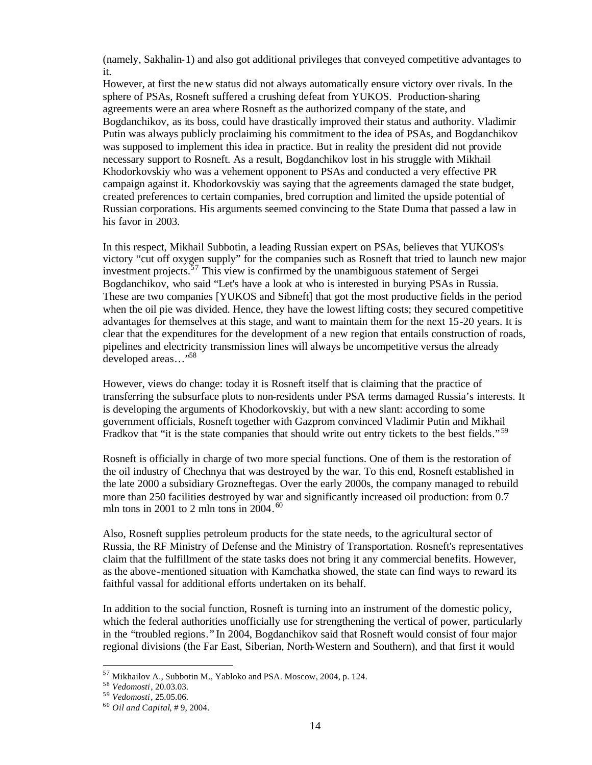(namely, Sakhalin-1) and also got additional privileges that conveyed competitive advantages to it.

However, at first the new status did not always automatically ensure victory over rivals. In the sphere of PSAs, Rosneft suffered a crushing defeat from YUKOS. Production-sharing agreements were an area where Rosneft as the authorized company of the state, and Bogdanchikov, as its boss, could have drastically improved their status and authority. Vladimir Putin was always publicly proclaiming his commitment to the idea of PSAs, and Bogdanchikov was supposed to implement this idea in practice. But in reality the president did not provide necessary support to Rosneft. As a result, Bogdanchikov lost in his struggle with Mikhail Khodorkovskiy who was a vehement opponent to PSAs and conducted a very effective PR campaign against it. Khodorkovskiy was saying that the agreements damaged the state budget, created preferences to certain companies, bred corruption and limited the upside potential of Russian corporations. His arguments seemed convincing to the State Duma that passed a law in his favor in 2003.

In this respect, Mikhail Subbotin, a leading Russian expert on PSAs, believes that YUKOS's victory "cut off oxygen supply" for the companies such as Rosneft that tried to launch new major investment projects. <sup>57</sup> This view is confirmed by the unambiguous statement of Sergei Bogdanchikov, who said "Let's have a look at who is interested in burying PSAs in Russia. These are two companies [YUKOS and Sibneft] that got the most productive fields in the period when the oil pie was divided. Hence, they have the lowest lifting costs; they secured competitive advantages for themselves at this stage, and want to maintain them for the next 15-20 years. It is clear that the expenditures for the development of a new region that entails construction of roads, pipelines and electricity transmission lines will always be uncompetitive versus the already developed areas..."<sup>58</sup>

However, views do change: today it is Rosneft itself that is claiming that the practice of transferring the subsurface plots to non-residents under PSA terms damaged Russia's interests. It is developing the arguments of Khodorkovskiy, but with a new slant: according to some government officials, Rosneft together with Gazprom convinced Vladimir Putin and Mikhail Fradkov that "it is the state companies that should write out entry tickets to the best fields."<sup>59</sup>

Rosneft is officially in charge of two more special functions. One of them is the restoration of the oil industry of Chechnya that was destroyed by the war. To this end, Rosneft established in the late 2000 a subsidiary Grozneftegas. Over the early 2000s, the company managed to rebuild more than 250 facilities destroyed by war and significantly increased oil production: from 0.7 mln tons in 2001 to 2 mln tons in  $2004.^{60}$ 

Also, Rosneft supplies petroleum products for the state needs, to the agricultural sector of Russia, the RF Ministry of Defense and the Ministry of Transportation. Rosneft's representatives claim that the fulfillment of the state tasks does not bring it any commercial benefits. However, as the above-mentioned situation with Kamchatka showed, the state can find ways to reward its faithful vassal for additional efforts undertaken on its behalf.

In addition to the social function, Rosneft is turning into an instrument of the domestic policy, which the federal authorities unofficially use for strengthening the vertical of power, particularly in the "troubled regions." In 2004, Bogdanchikov said that Rosneft would consist of four major regional divisions (the Far East, Siberian, North-Western and Southern), and that first it would

<sup>57</sup> Mikhailov A., Subbotin M., Yabloko and PSA. Moscow, 2004, p. 124.

<sup>58</sup> *Vedomosti*, 20.03.03.

<sup>59</sup> *Vedomosti*, 25.05.06.

<sup>60</sup> *Oil and Capital*, # 9, 2004.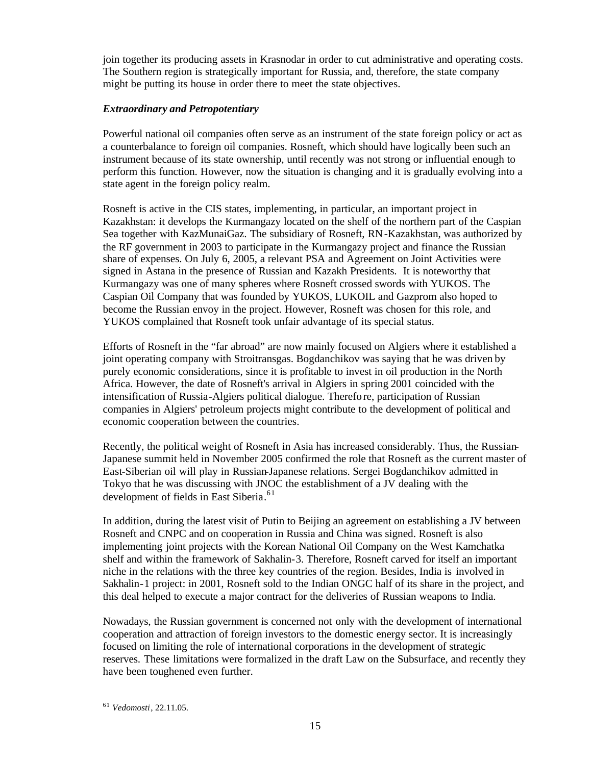join together its producing assets in Krasnodar in order to cut administrative and operating costs. The Southern region is strategically important for Russia, and, therefore, the state company might be putting its house in order there to meet the state objectives.

## *Extraordinary and Petropotentiary*

Powerful national oil companies often serve as an instrument of the state foreign policy or act as a counterbalance to foreign oil companies. Rosneft, which should have logically been such an instrument because of its state ownership, until recently was not strong or influential enough to perform this function. However, now the situation is changing and it is gradually evolving into a state agent in the foreign policy realm.

Rosneft is active in the CIS states, implementing, in particular, an important project in Kazakhstan: it develops the Kurmangazy located on the shelf of the northern part of the Caspian Sea together with KazMunaiGaz. The subsidiary of Rosneft, RN-Kazakhstan, was authorized by the RF government in 2003 to participate in the Kurmangazy project and finance the Russian share of expenses. On July 6, 2005, a relevant PSA and Agreement on Joint Activities were signed in Astana in the presence of Russian and Kazakh Presidents. It is noteworthy that Kurmangazy was one of many spheres where Rosneft crossed swords with YUKOS. The Caspian Oil Company that was founded by YUKOS, LUKOIL and Gazprom also hoped to become the Russian envoy in the project. However, Rosneft was chosen for this role, and YUKOS complained that Rosneft took unfair advantage of its special status.

Efforts of Rosneft in the "far abroad" are now mainly focused on Algiers where it established a joint operating company with Stroitransgas. Bogdanchikov was saying that he was driven by purely economic considerations, since it is profitable to invest in oil production in the North Africa. However, the date of Rosneft's arrival in Algiers in spring 2001 coincided with the intensification of Russia-Algiers political dialogue. Therefo re, participation of Russian companies in Algiers' petroleum projects might contribute to the development of political and economic cooperation between the countries.

Recently, the political weight of Rosneft in Asia has increased considerably. Thus, the Russian-Japanese summit held in November 2005 confirmed the role that Rosneft as the current master of East-Siberian oil will play in Russian-Japanese relations. Sergei Bogdanchikov admitted in Tokyo that he was discussing with JNOC the establishment of a JV dealing with the development of fields in East Siberia. 61

In addition, during the latest visit of Putin to Beijing an agreement on establishing a JV between Rosneft and CNPC and on cooperation in Russia and China was signed. Rosneft is also implementing joint projects with the Korean National Oil Company on the West Kamchatka shelf and within the framework of Sakhalin-3. Therefore, Rosneft carved for itself an important niche in the relations with the three key countries of the region. Besides, India is involved in Sakhalin-1 project: in 2001, Rosneft sold to the Indian ONGC half of its share in the project, and this deal helped to execute a major contract for the deliveries of Russian weapons to India.

Nowadays, the Russian government is concerned not only with the development of international cooperation and attraction of foreign investors to the domestic energy sector. It is increasingly focused on limiting the role of international corporations in the development of strategic reserves. These limitations were formalized in the draft Law on the Subsurface, and recently they have been toughened even further.

<sup>61</sup> *Vedomosti*, 22.11.05.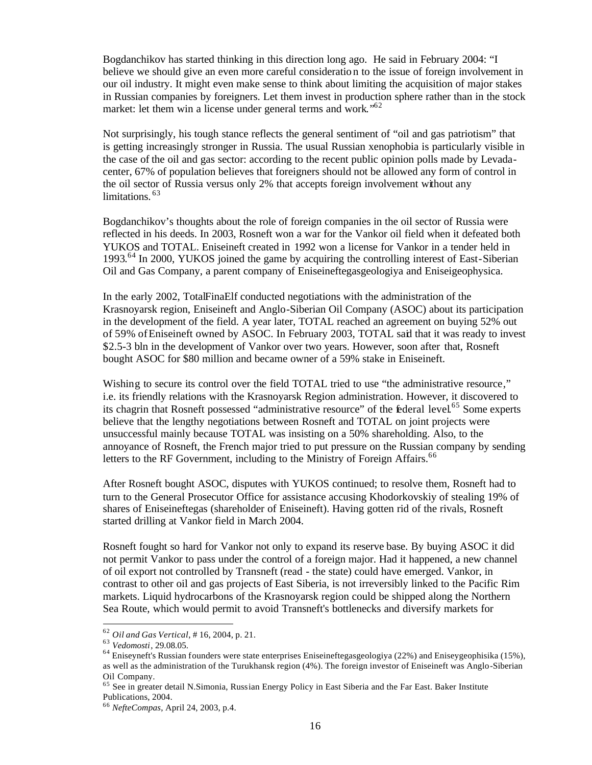Bogdanchikov has started thinking in this direction long ago. He said in February 2004: "I believe we should give an even more careful consideratio n to the issue of foreign involvement in our oil industry. It might even make sense to think about limiting the acquisition of major stakes in Russian companies by foreigners. Let them invest in production sphere rather than in the stock market: let them win a license under general terms and work."<sup>62</sup>

Not surprisingly, his tough stance reflects the general sentiment of "oil and gas patriotism" that is getting increasingly stronger in Russia. The usual Russian xenophobia is particularly visible in the case of the oil and gas sector: according to the recent public opinion polls made by Levadacenter, 67% of population believes that foreigners should not be allowed any form of control in the oil sector of Russia versus only 2% that accepts foreign involvement without any limitations.<sup>63</sup>

Bogdanchikov's thoughts about the role of foreign companies in the oil sector of Russia were reflected in his deeds. In 2003, Rosneft won a war for the Vankor oil field when it defeated both YUKOS and TOTAL. Eniseineft created in 1992 won a license for Vankor in a tender held in 1993.<sup>64</sup> In 2000, YUKOS joined the game by acquiring the controlling interest of East-Siberian Oil and Gas Company, a parent company of Eniseineftegasgeologiya and Eniseigeophysica.

In the early 2002, TotalFinaElf conducted negotiations with the administration of the Krasnoyarsk region, Eniseineft and Anglo-Siberian Oil Company (ASOC) about its participation in the development of the field. A year later, TOTAL reached an agreement on buying 52% out of 59% of Eniseineft owned by ASOC. In February 2003, TOTAL said that it was ready to invest \$2.5-3 bln in the development of Vankor over two years. However, soon after that, Rosneft bought ASOC for \$80 million and became owner of a 59% stake in Eniseineft.

Wishing to secure its control over the field TOTAL tried to use "the administrative resource," i.e. its friendly relations with the Krasnoyarsk Region administration. However, it discovered to its chagrin that Rosneft possessed "administrative resource" of the Éderal level.<sup>65</sup> Some experts believe that the lengthy negotiations between Rosneft and TOTAL on joint projects were unsuccessful mainly because TOTAL was insisting on a 50% shareholding. Also, to the annoyance of Rosneft, the French major tried to put pressure on the Russian company by sending letters to the RF Government, including to the Ministry of Foreign Affairs.<sup>66</sup>

After Rosneft bought ASOC, disputes with YUKOS continued; to resolve them, Rosneft had to turn to the General Prosecutor Office for assistance accusing Khodorkovskiy of stealing 19% of shares of Eniseineftegas (shareholder of Eniseineft). Having gotten rid of the rivals, Rosneft started drilling at Vankor field in March 2004.

Rosneft fought so hard for Vankor not only to expand its reserve base. By buying ASOC it did not permit Vankor to pass under the control of a foreign major. Had it happened, a new channel of oil export not controlled by Transneft (read - the state) could have emerged. Vankor, in contrast to other oil and gas projects of East Siberia, is not irreversibly linked to the Pacific Rim markets. Liquid hydrocarbons of the Krasnoyarsk region could be shipped along the Northern Sea Route, which would permit to avoid Transneft's bottlenecks and diversify markets for

<sup>62</sup> *Oil and Gas Vertical*, # 16, 2004, p. 21.

<sup>63</sup> *Vedomosti*, 29.08.05.

<sup>64</sup> Eniseyneft's Russian founders were state enterprises Eniseineftegasgeologiya (22%) and Eniseygeophisika (15%), as well as the administration of the Turukhansk region (4%). The foreign investor of Eniseineft was Anglo-Siberian Oil Company.

<sup>&</sup>lt;sup>65</sup> See in greater detail N.Simonia, Russian Energy Policy in East Siberia and the Far East. Baker Institute Publications, 2004.

<sup>66</sup> *NefteCompas*, April 24, 2003, p.4.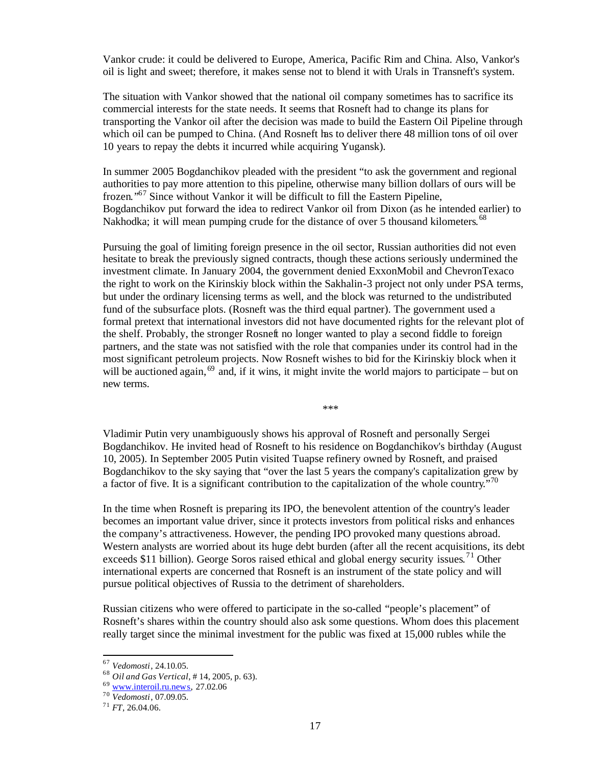Vankor crude: it could be delivered to Europe, America, Pacific Rim and China. Also, Vankor's oil is light and sweet; therefore, it makes sense not to blend it with Urals in Transneft's system.

The situation with Vankor showed that the national oil company sometimes has to sacrifice its commercial interests for the state needs. It seems that Rosneft had to change its plans for transporting the Vankor oil after the decision was made to build the Eastern Oil Pipeline through which oil can be pumped to China. (And Rosneft has to deliver there 48 million tons of oil over 10 years to repay the debts it incurred while acquiring Yugansk).

In summer 2005 Bogdanchikov pleaded with the president "to ask the government and regional authorities to pay more attention to this pipeline, otherwise many billion dollars of ours will be frozen."<sup>67</sup> Since without Vankor it will be difficult to fill the Eastern Pipeline, Bogdanchikov put forward the idea to redirect Vankor oil from Dixon (as he intended earlier) to Nakhodka; it will mean pumping crude for the distance of over 5 thousand kilometers.<sup>68</sup>

Pursuing the goal of limiting foreign presence in the oil sector, Russian authorities did not even hesitate to break the previously signed contracts, though these actions seriously undermined the investment climate. In January 2004, the government denied ExxonMobil and ChevronTexaco the right to work on the Kirinskiy block within the Sakhalin-3 project not only under PSA terms, but under the ordinary licensing terms as well, and the block was returned to the undistributed fund of the subsurface plots. (Rosneft was the third equal partner). The government used a formal pretext that international investors did not have documented rights for the relevant plot of the shelf. Probably, the stronger Rosneft no longer wanted to play a second fiddle to foreign partners, and the state was not satisfied with the role that companies under its control had in the most significant petroleum projects. Now Rosneft wishes to bid for the Kirinskiy block when it will be auctioned again,  $69$  and, if it wins, it might invite the world majors to participate – but on new terms.

\*\*\*

Vladimir Putin very unambiguously shows his approval of Rosneft and personally Sergei Bogdanchikov. He invited head of Rosneft to his residence on Bogdanchikov's birthday (August 10, 2005). In September 2005 Putin visited Tuapse refinery owned by Rosneft, and praised Bogdanchikov to the sky saying that "over the last 5 years the company's capitalization grew by a factor of five. It is a significant contribution to the capitalization of the whole country.<sup> $570$ </sup>

In the time when Rosneft is preparing its IPO, the benevolent attention of the country's leader becomes an important value driver, since it protects investors from political risks and enhances the company's attractiveness. However, the pending IPO provoked many questions abroad. Western analysts are worried about its huge debt burden (after all the recent acquisitions, its debt exceeds \$11 billion). George Soros raised ethical and global energy security issues.<sup>71</sup> Other international experts are concerned that Rosneft is an instrument of the state policy and will pursue political objectives of Russia to the detriment of shareholders.

Russian citizens who were offered to participate in the so-called "people's placement" of Rosneft's shares within the country should also ask some questions. Whom does this placement really target since the minimal investment for the public was fixed at 15,000 rubles while the

<sup>67</sup> *Vedomosti*, 24.10.05.

<sup>68</sup> *Oil and Gas Vertical*, # 14, 2005, p. 63).

<sup>69</sup> www.interoil.ru.news, 27.02.06

<sup>70</sup> *Vedomosti*, 07.09.05.

<sup>71</sup> *FT*, 26.04.06.